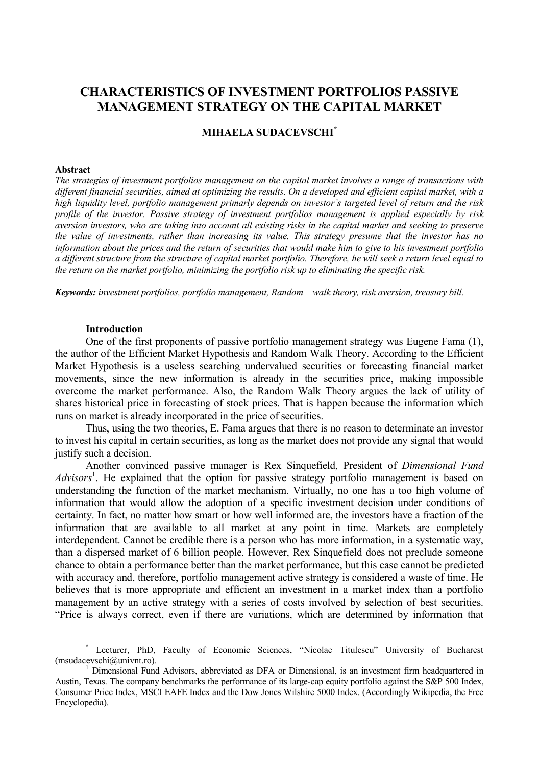# **CHARACTERISTICS OF INVESTMENT PORTFOLIOS PASSIVE MANAGEMENT STRATEGY ON THE CAPITAL MARKET**

# **MIHAELA SUDACEVSCHI\***

#### **Abstract**

 $\overline{a}$ 

*The strategies of investment portfolios management on the capital market involves a range of transactions with different financial securities, aimed at optimizing the results. On a developed and efficient capital market, with a high liquidity level, portfolio management primarly depends on investor's targeted level of return and the risk profile of the investor. Passive strategy of investment portfolios management is applied especially by risk aversion investors, who are taking into account all existing risks in the capital market and seeking to preserve the value of investments, rather than increasing its value. This strategy presume that the investor has no information about the prices and the return of securities that would make him to give to his investment portfolio a different structure from the structure of capital market portfolio. Therefore, he will seek a return level equal to the return on the market portfolio, minimizing the portfolio risk up to eliminating the specific risk.*

*Keywords: investment portfolios, portfolio management, Random – walk theory, risk aversion, treasury bill.* 

#### **Introduction**

One of the first proponents of passive portfolio management strategy was Eugene Fama (1), the author of the Efficient Market Hypothesis and Random Walk Theory. According to the Efficient Market Hypothesis is a useless searching undervalued securities or forecasting financial market movements, since the new information is already in the securities price, making impossible overcome the market performance. Also, the Random Walk Theory argues the lack of utility of shares historical price in forecasting of stock prices. That is happen because the information which runs on market is already incorporated in the price of securities.

Thus, using the two theories, E. Fama argues that there is no reason to determinate an investor to invest his capital in certain securities, as long as the market does not provide any signal that would justify such a decision.

Another convinced passive manager is Rex Sinquefield, President of *Dimensional Fund*  Advisors<sup>1</sup>. He explained that the option for passive strategy portfolio management is based on understanding the function of the market mechanism. Virtually, no one has a too high volume of information that would allow the adoption of a specific investment decision under conditions of certainty. In fact, no matter how smart or how well informed are, the investors have a fraction of the information that are available to all market at any point in time. Markets are completely interdependent. Cannot be credible there is a person who has more information, in a systematic way, than a dispersed market of 6 billion people. However, Rex Sinquefield does not preclude someone chance to obtain a performance better than the market performance, but this case cannot be predicted with accuracy and, therefore, portfolio management active strategy is considered a waste of time. He believes that is more appropriate and efficient an investment in a market index than a portfolio management by an active strategy with a series of costs involved by selection of best securities. "Price is always correct, even if there are variations, which are determined by information that

<sup>\*</sup> Lecturer, PhD, Faculty of Economic Sciences, "Nicolae Titulescu" University of Bucharest (msudacevschi@univnt.ro).

 $<sup>1</sup>$  Dimensional Fund Advisors, abbreviated as DFA or Dimensional, is an investment firm headquartered in</sup> Austin, Texas. The company benchmarks the performance of its large-cap equity portfolio against the S&P 500 Index, Consumer Price Index, MSCI EAFE Index and the Dow Jones Wilshire 5000 Index. (Accordingly Wikipedia, the Free Encyclopedia).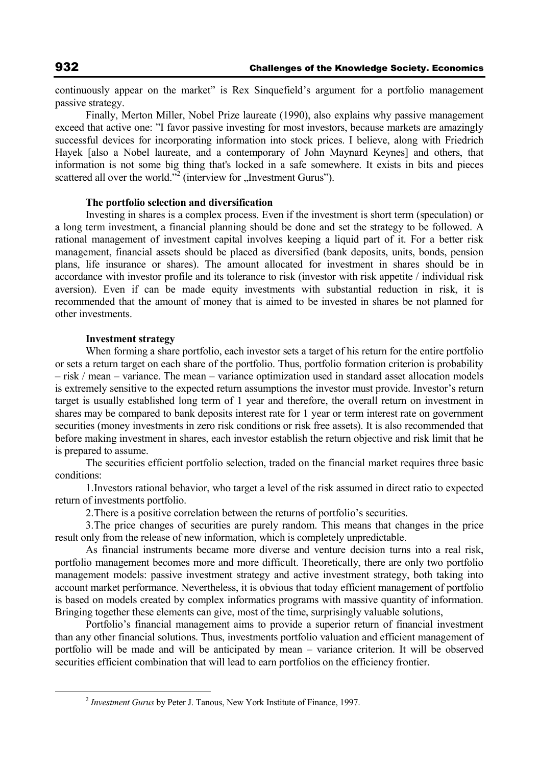continuously appear on the market" is Rex Sinquefield's argument for a portfolio management passive strategy.

Finally, Merton Miller, Nobel Prize laureate (1990), also explains why passive management exceed that active one: "I favor passive investing for most investors, because markets are amazingly successful devices for incorporating information into stock prices. I believe, along with Friedrich Hayek [also a Nobel laureate, and a contemporary of John Maynard Keynes] and others, that information is not some big thing that's locked in a safe somewhere. It exists in bits and pieces scattered all over the world."<sup>2</sup> (interview for "Investment Gurus").

## **The portfolio selection and diversification**

Investing in shares is a complex process. Even if the investment is short term (speculation) or a long term investment, a financial planning should be done and set the strategy to be followed. A rational management of investment capital involves keeping a liquid part of it. For a better risk management, financial assets should be placed as diversified (bank deposits, units, bonds, pension plans, life insurance or shares). The amount allocated for investment in shares should be in accordance with investor profile and its tolerance to risk (investor with risk appetite / individual risk aversion). Even if can be made equity investments with substantial reduction in risk, it is recommended that the amount of money that is aimed to be invested in shares be not planned for other investments.

## **Investment strategy**

When forming a share portfolio, each investor sets a target of his return for the entire portfolio or sets a return target on each share of the portfolio. Thus, portfolio formation criterion is probability – risk / mean – variance. The mean – variance optimization used in standard asset allocation models is extremely sensitive to the expected return assumptions the investor must provide. Investor's return target is usually established long term of 1 year and therefore, the overall return on investment in shares may be compared to bank deposits interest rate for 1 year or term interest rate on government securities (money investments in zero risk conditions or risk free assets). It is also recommended that before making investment in shares, each investor establish the return objective and risk limit that he is prepared to assume.

The securities efficient portfolio selection, traded on the financial market requires three basic conditions:

1.Investors rational behavior, who target a level of the risk assumed in direct ratio to expected return of investments portfolio.

2.There is a positive correlation between the returns of portfolio's securities.

3.The price changes of securities are purely random. This means that changes in the price result only from the release of new information, which is completely unpredictable.

As financial instruments became more diverse and venture decision turns into a real risk, portfolio management becomes more and more difficult. Theoretically, there are only two portfolio management models: passive investment strategy and active investment strategy, both taking into account market performance. Nevertheless, it is obvious that today efficient management of portfolio is based on models created by complex informatics programs with massive quantity of information. Bringing together these elements can give, most of the time, surprisingly valuable solutions,

Portfolio's financial management aims to provide a superior return of financial investment than any other financial solutions. Thus, investments portfolio valuation and efficient management of portfolio will be made and will be anticipated by mean – variance criterion. It will be observed securities efficient combination that will lead to earn portfolios on the efficiency frontier.

 $\overline{a}$ 

<sup>2</sup> *Investment Gurus* by Peter J. Tanous, New York Institute of Finance, 1997.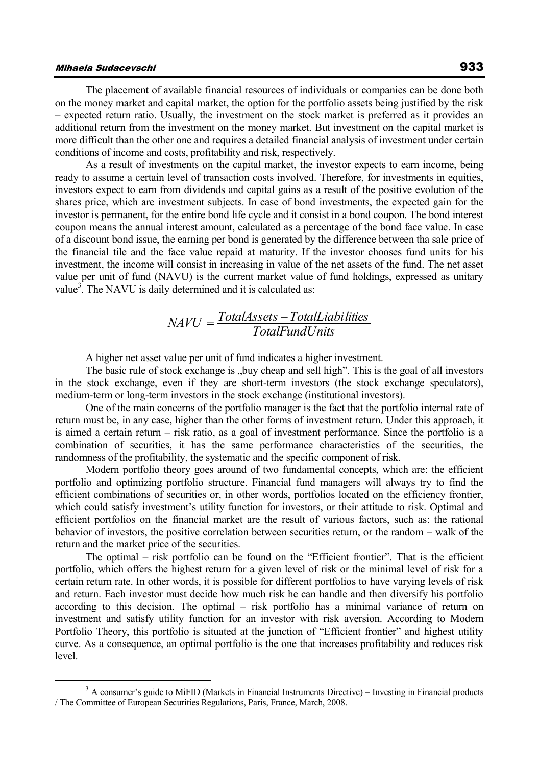## Mihaela Sudacevschi 933

The placement of available financial resources of individuals or companies can be done both on the money market and capital market, the option for the portfolio assets being justified by the risk – expected return ratio. Usually, the investment on the stock market is preferred as it provides an additional return from the investment on the money market. But investment on the capital market is more difficult than the other one and requires a detailed financial analysis of investment under certain conditions of income and costs, profitability and risk, respectively.

As a result of investments on the capital market, the investor expects to earn income, being ready to assume a certain level of transaction costs involved. Therefore, for investments in equities, investors expect to earn from dividends and capital gains as a result of the positive evolution of the shares price, which are investment subjects. In case of bond investments, the expected gain for the investor is permanent, for the entire bond life cycle and it consist in a bond coupon. The bond interest coupon means the annual interest amount, calculated as a percentage of the bond face value. In case of a discount bond issue, the earning per bond is generated by the difference between tha sale price of the financial tile and the face value repaid at maturity. If the investor chooses fund units for his investment, the income will consist in increasing in value of the net assets of the fund. The net asset value per unit of fund (NAVU) is the current market value of fund holdings, expressed as unitary value<sup>3</sup>. The NAVU is daily determined and it is calculated as:

# *TotalFundUnits TotalAssets TotalLiabilities NAVU*

A higher net asset value per unit of fund indicates a higher investment.

The basic rule of stock exchange is "buy cheap and sell high". This is the goal of all investors in the stock exchange, even if they are short-term investors (the stock exchange speculators), medium-term or long-term investors in the stock exchange (institutional investors).

One of the main concerns of the portfolio manager is the fact that the portfolio internal rate of return must be, in any case, higher than the other forms of investment return. Under this approach, it is aimed a certain return – risk ratio, as a goal of investment performance. Since the portfolio is a combination of securities, it has the same performance characteristics of the securities, the randomness of the profitability, the systematic and the specific component of risk.

Modern portfolio theory goes around of two fundamental concepts, which are: the efficient portfolio and optimizing portfolio structure. Financial fund managers will always try to find the efficient combinations of securities or, in other words, portfolios located on the efficiency frontier, which could satisfy investment's utility function for investors, or their attitude to risk. Optimal and efficient portfolios on the financial market are the result of various factors, such as: the rational behavior of investors, the positive correlation between securities return, or the random – walk of the return and the market price of the securities.

The optimal – risk portfolio can be found on the "Efficient frontier". That is the efficient portfolio, which offers the highest return for a given level of risk or the minimal level of risk for a certain return rate. In other words, it is possible for different portfolios to have varying levels of risk and return. Each investor must decide how much risk he can handle and then diversify his portfolio according to this decision. The optimal – risk portfolio has a minimal variance of return on investment and satisfy utility function for an investor with risk aversion. According to Modern Portfolio Theory, this portfolio is situated at the junction of "Efficient frontier" and highest utility curve. As a consequence, an optimal portfolio is the one that increases profitability and reduces risk level.

<sup>&</sup>lt;sup>3</sup> A consumer's guide to MiFID (Markets in Financial Instruments Directive) – Investing in Financial products / The Committee of European Securities Regulations, Paris, France, March, 2008.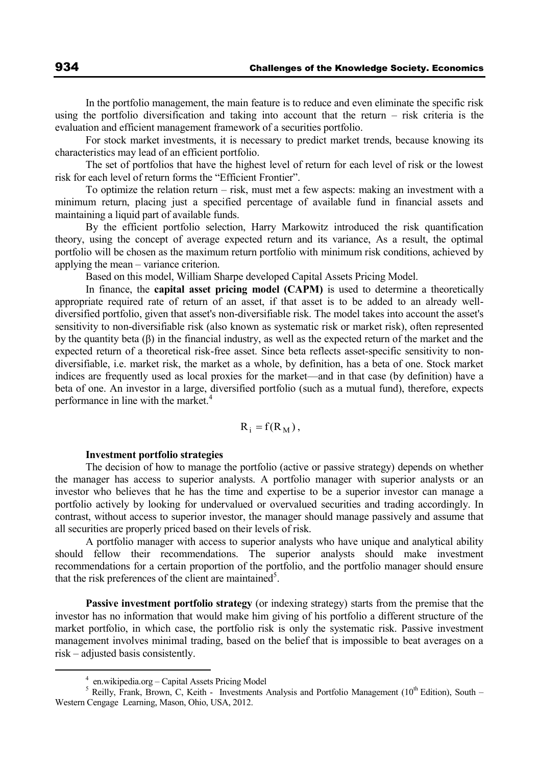In the portfolio management, the main feature is to reduce and even eliminate the specific risk using the portfolio diversification and taking into account that the return – risk criteria is the evaluation and efficient management framework of a securities portfolio.

For stock market investments, it is necessary to predict market trends, because knowing its characteristics may lead of an efficient portfolio.

The set of portfolios that have the highest level of return for each level of risk or the lowest risk for each level of return forms the "Efficient Frontier".

To optimize the relation return – risk, must met a few aspects: making an investment with a minimum return, placing just a specified percentage of available fund in financial assets and maintaining a liquid part of available funds.

By the efficient portfolio selection, Harry Markowitz introduced the risk quantification theory, using the concept of average expected return and its variance, As a result, the optimal portfolio will be chosen as the maximum return portfolio with minimum risk conditions, achieved by applying the mean – variance criterion.

Based on this model, William Sharpe developed Capital Assets Pricing Model.

In finance, the **capital asset pricing model (CAPM)** is used to determine a theoretically appropriate required rate of return of an asset, if that asset is to be added to an already welldiversified portfolio, given that asset's non-diversifiable risk. The model takes into account the asset's sensitivity to non-diversifiable risk (also known as systematic risk or market risk), often represented by the quantity beta (β) in the financial industry, as well as the expected return of the market and the expected return of a theoretical risk-free asset. Since beta reflects asset-specific sensitivity to nondiversifiable, i.e. market risk, the market as a whole, by definition, has a beta of one. Stock market indices are frequently used as local proxies for the market—and in that case (by definition) have a beta of one. An investor in a large, diversified portfolio (such as a mutual fund), therefore, expects performance in line with the market.<sup>4</sup>

$$
R_i = f(R_M),
$$

#### **Investment portfolio strategies**

The decision of how to manage the portfolio (active or passive strategy) depends on whether the manager has access to superior analysts. A portfolio manager with superior analysts or an investor who believes that he has the time and expertise to be a superior investor can manage a portfolio actively by looking for undervalued or overvalued securities and trading accordingly. In contrast, without access to superior investor, the manager should manage passively and assume that all securities are properly priced based on their levels of risk.

A portfolio manager with access to superior analysts who have unique and analytical ability should fellow their recommendations. The superior analysts should make investment recommendations for a certain proportion of the portfolio, and the portfolio manager should ensure that the risk preferences of the client are maintained<sup>5</sup>.

**Passive investment portfolio strategy** (or indexing strategy) starts from the premise that the investor has no information that would make him giving of his portfolio a different structure of the market portfolio, in which case, the portfolio risk is only the systematic risk. Passive investment management involves minimal trading, based on the belief that is impossible to beat averages on a risk – adjusted basis consistently.

 $\overline{a}$ 

<sup>4</sup> en.wikipedia.org – Capital Assets Pricing Model

 $5$  Reilly, Frank, Brown, C, Keith - Investments Analysis and Portfolio Management ( $10<sup>th</sup>$  Edition), South – Western Cengage Learning, Mason, Ohio, USA, 2012.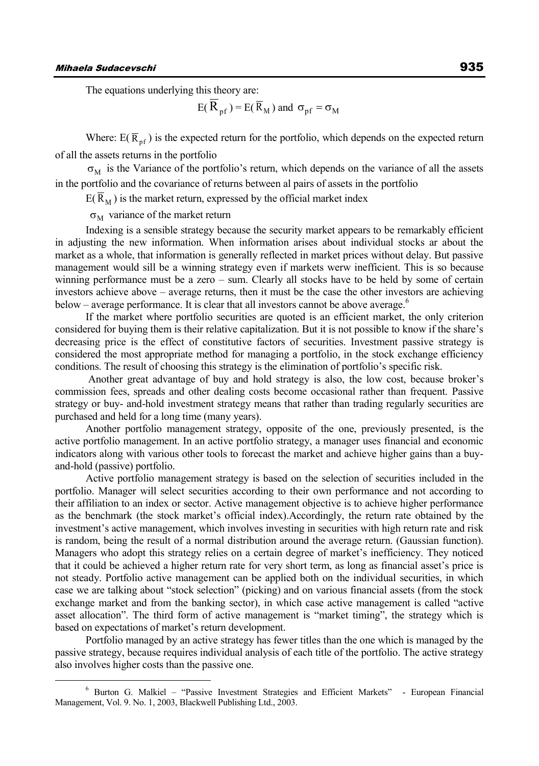The equations underlying this theory are:

$$
E(\overline{R}_{pf}) = E(\overline{R}_M)
$$
 and  $\sigma_{pf} = \sigma_M$ 

Where:  $E(\overline{R}_{pf})$  is the expected return for the portfolio, which depends on the expected return of all the assets returns in the portfolio

 $\sigma_M$  is the Variance of the portfolio's return, which depends on the variance of all the assets in the portfolio and the covariance of returns between al pairs of assets in the portfolio

 $E(R_M)$  is the market return, expressed by the official market index

 $\sigma_M$  variance of the market return

Indexing is a sensible strategy because the security market appears to be remarkably efficient in adjusting the new information. When information arises about individual stocks ar about the market as a whole, that information is generally reflected in market prices without delay. But passive management would sill be a winning strategy even if markets werw inefficient. This is so because winning performance must be a zero – sum. Clearly all stocks have to be held by some of certain investors achieve above – average returns, then it must be the case the other investors are achieving below – average performance. It is clear that all investors cannot be above average. $\degree$ 

If the market where portfolio securities are quoted is an efficient market, the only criterion considered for buying them is their relative capitalization. But it is not possible to know if the share's decreasing price is the effect of constitutive factors of securities. Investment passive strategy is considered the most appropriate method for managing a portfolio, in the stock exchange efficiency conditions. The result of choosing this strategy is the elimination of portfolio's specific risk.

Another great advantage of buy and hold strategy is also, the low cost, because broker's commission fees, spreads and other dealing costs become occasional rather than frequent. Passive strategy or buy- and-hold investment strategy means that rather than trading regularly securities are purchased and held for a long time (many years).

Another portfolio management strategy, opposite of the one, previously presented, is the active portfolio management. In an active portfolio strategy, a manager uses financial and economic indicators along with various other tools to forecast the market and achieve higher gains than a buyand-hold (passive) portfolio.

Active portfolio management strategy is based on the selection of securities included in the portfolio. Manager will select securities according to their own performance and not according to their affiliation to an index or sector. Active management objective is to achieve higher performance as the benchmark (the stock market's official index).Accordingly, the return rate obtained by the investment's active management, which involves investing in securities with high return rate and risk is random, being the result of a normal distribution around the average return. (Gaussian function). Managers who adopt this strategy relies on a certain degree of market's inefficiency. They noticed that it could be achieved a higher return rate for very short term, as long as financial asset's price is not steady. Portfolio active management can be applied both on the individual securities, in which case we are talking about "stock selection" (picking) and on various financial assets (from the stock exchange market and from the banking sector), in which case active management is called "active asset allocation". The third form of active management is "market timing", the strategy which is based on expectations of market's return development.

Portfolio managed by an active strategy has fewer titles than the one which is managed by the passive strategy, because requires individual analysis of each title of the portfolio. The active strategy also involves higher costs than the passive one.

<sup>6</sup> Burton G. Malkiel – "Passive Investment Strategies and Efficient Markets" - European Financial Management, Vol. 9. No. 1, 2003, Blackwell Publishing Ltd., 2003.